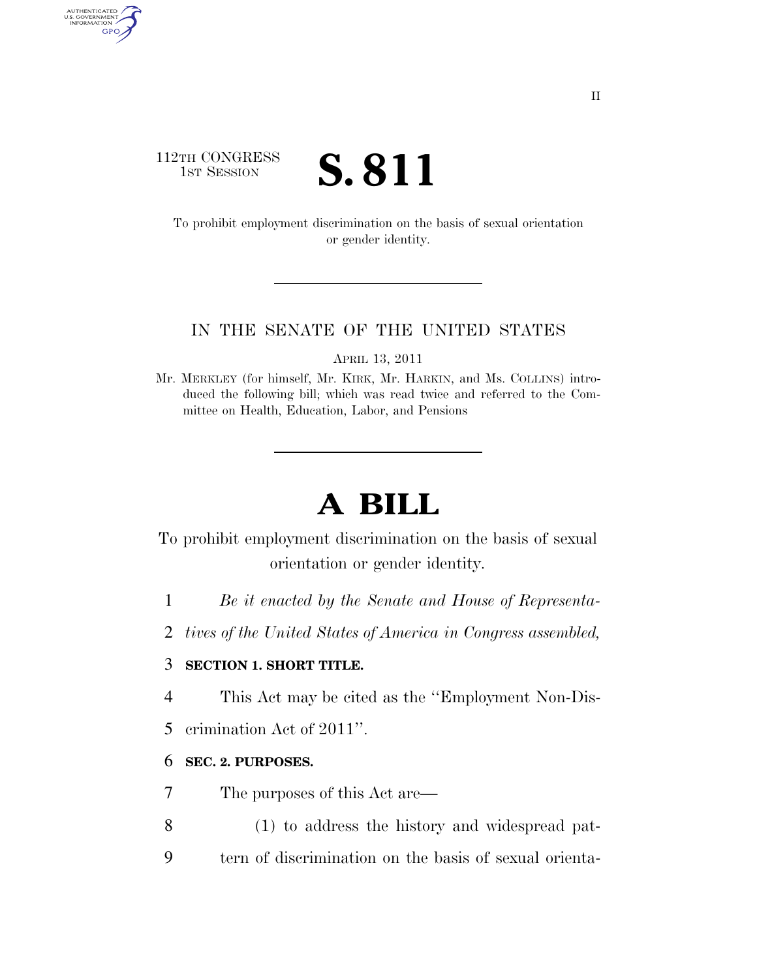# 112TH CONGRESS TH CONGRESS **S. 811**

AUTHENTICATED<br>U.S. GOVERNMENT<br>INFORMATION GPO

> To prohibit employment discrimination on the basis of sexual orientation or gender identity.

### IN THE SENATE OF THE UNITED STATES

APRIL 13, 2011

Mr. MERKLEY (for himself, Mr. KIRK, Mr. HARKIN, and Ms. COLLINS) introduced the following bill; which was read twice and referred to the Committee on Health, Education, Labor, and Pensions

# **A BILL**

To prohibit employment discrimination on the basis of sexual orientation or gender identity.

- 1 *Be it enacted by the Senate and House of Representa-*
- 2 *tives of the United States of America in Congress assembled,*

# 3 **SECTION 1. SHORT TITLE.**

- 4 This Act may be cited as the ''Employment Non-Dis-
- 5 crimination Act of 2011''.

# 6 **SEC. 2. PURPOSES.**

- 7 The purposes of this Act are—
- 8 (1) to address the history and widespread pat-
- 9 tern of discrimination on the basis of sexual orienta-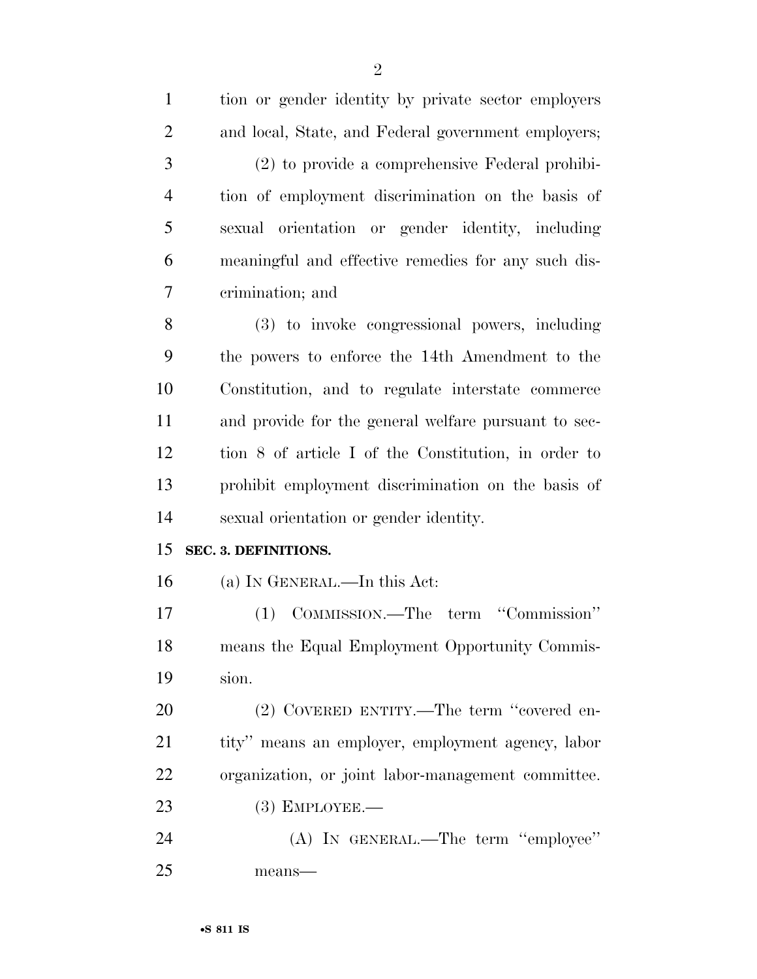| $\mathbf{1}$   | tion or gender identity by private sector employers  |
|----------------|------------------------------------------------------|
| $\overline{2}$ | and local, State, and Federal government employers;  |
| 3              | (2) to provide a comprehensive Federal prohibi-      |
| $\overline{4}$ | tion of employment discrimination on the basis of    |
| 5              | sexual orientation or gender identity, including     |
| 6              | meaningful and effective remedies for any such dis-  |
| 7              | crimination; and                                     |
| 8              | (3) to invoke congressional powers, including        |
| 9              | the powers to enforce the 14th Amendment to the      |
| 10             | Constitution, and to regulate interstate commerce    |
| 11             | and provide for the general welfare pursuant to sec- |
| 12             | tion 8 of article I of the Constitution, in order to |
| 13             | prohibit employment discrimination on the basis of   |
| 14             | sexual orientation or gender identity.               |
| 15             | SEC. 3. DEFINITIONS.                                 |
| 16             | (a) IN GENERAL.—In this Act:                         |
| 17             | (1) COMMISSION.—The term "Commission"                |
| 18             | means the Equal Employment Opportunity Commis-       |
| 19             | sion.                                                |
| 20             | (2) COVERED ENTITY.—The term "covered en-            |
| 21             | tity" means an employer, employment agency, labor    |
| 22             | organization, or joint labor-management committee.   |
| 23             | $(3)$ EMPLOYEE.—                                     |
| 24             | (A) IN GENERAL.—The term "employee"                  |
| 25             | means-                                               |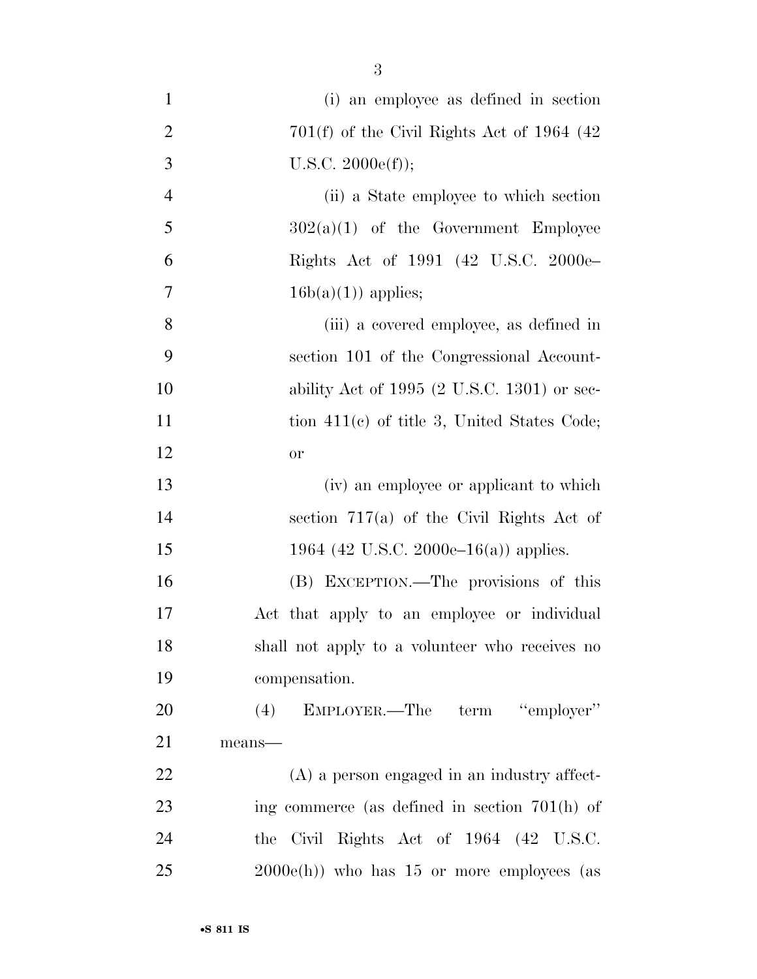| $\mathbf{1}$   | (i) an employee as defined in section                  |
|----------------|--------------------------------------------------------|
| $\overline{2}$ | $701(f)$ of the Civil Rights Act of 1964 (42)          |
| 3              | U.S.C. 2000e(f));                                      |
| $\overline{4}$ | (ii) a State employee to which section                 |
| 5              | $302(a)(1)$ of the Government Employee                 |
| 6              | Rights Act of 1991 (42 U.S.C. 2000e                    |
| 7              | $16b(a)(1)$ applies;                                   |
| 8              | (iii) a covered employee, as defined in                |
| 9              | section 101 of the Congressional Account-              |
| 10             | ability Act of 1995 $(2 \text{ U.S.C. } 1301)$ or sec- |
| 11             | tion 411(c) of title 3, United States Code;            |
| 12             | or                                                     |
| 13             | (iv) an employee or applicant to which                 |
| 14             | section $717(a)$ of the Civil Rights Act of            |
| 15             | 1964 (42 U.S.C. 2000e–16(a)) applies.                  |
| 16             | (B) EXCEPTION.—The provisions of this                  |
| 17             | Act that apply to an employee or individual            |
| 18             | shall not apply to a volunteer who receives no         |
| 19             | compensation.                                          |
| 20             | (4) EMPLOYER.—The term "employer"                      |
| 21             | means-                                                 |
| 22             | $(A)$ a person engaged in an industry affect-          |
| 23             | ing commerce (as defined in section $701(h)$ of        |
| 24             | Civil Rights Act of 1964 (42 U.S.C.<br>the             |
| 25             | $2000e(h)$ who has 15 or more employees (as            |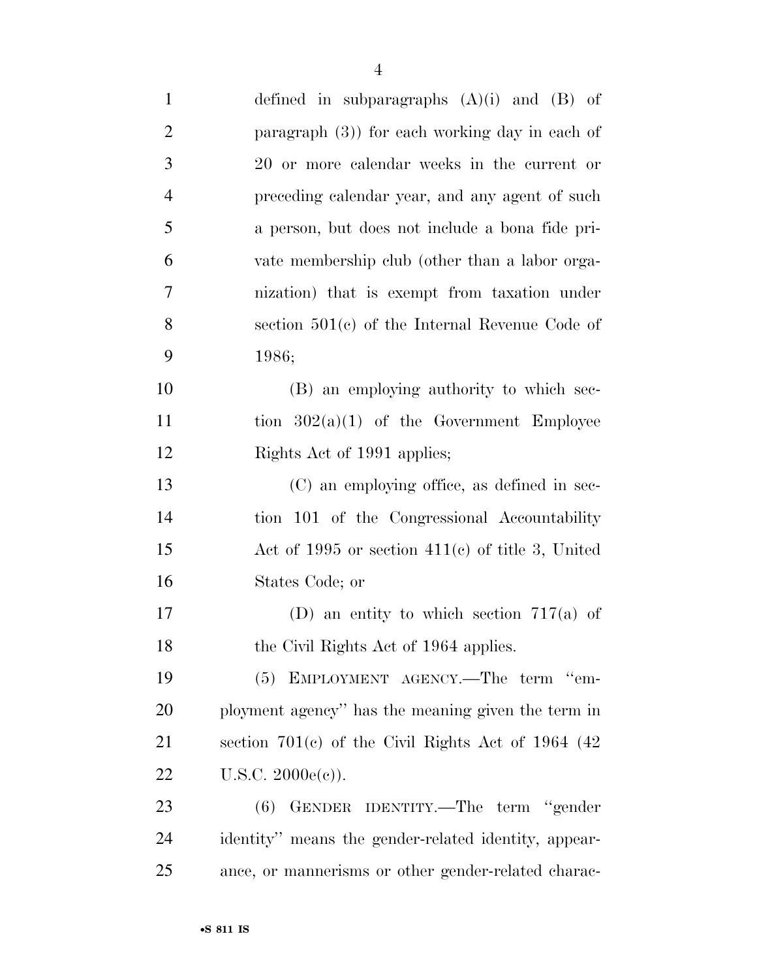| $\mathbf{1}$   | defined in subparagraphs $(A)(i)$ and $(B)$ of        |
|----------------|-------------------------------------------------------|
| $\overline{2}$ | paragraph $(3)$ ) for each working day in each of     |
| 3              | 20 or more calendar weeks in the current or           |
| $\overline{4}$ | preceding calendar year, and any agent of such        |
| 5              | a person, but does not include a bona fide pri-       |
| 6              | vate membership club (other than a labor orga-        |
| $\overline{7}$ | nization) that is exempt from taxation under          |
| 8              | section $501(c)$ of the Internal Revenue Code of      |
| 9              | 1986;                                                 |
| 10             | (B) an employing authority to which sec-              |
| 11             | tion $302(a)(1)$ of the Government Employee           |
| 12             | Rights Act of 1991 applies;                           |
| 13             | (C) an employing office, as defined in sec-           |
| 14             | tion 101 of the Congressional Accountability          |
| 15             | Act of 1995 or section $411(c)$ of title 3, United    |
| 16             | States Code; or                                       |
| 17             | (D) an entity to which section $717(a)$ of            |
| 18             | the Civil Rights Act of 1964 applies.                 |
| 19             | (5) EMPLOYMENT AGENCY.—The term "em-                  |
| 20             | ployment agency" has the meaning given the term in    |
| 21             | section $701(c)$ of the Civil Rights Act of 1964 (42) |
| 22             | $U.S.C. 2000e(e)$ ).                                  |
| 23             | GENDER IDENTITY.—The term "gender<br>(6)              |
| 24             | identity" means the gender-related identity, appear-  |
| 25             | ance, or mannerisms or other gender-related charac-   |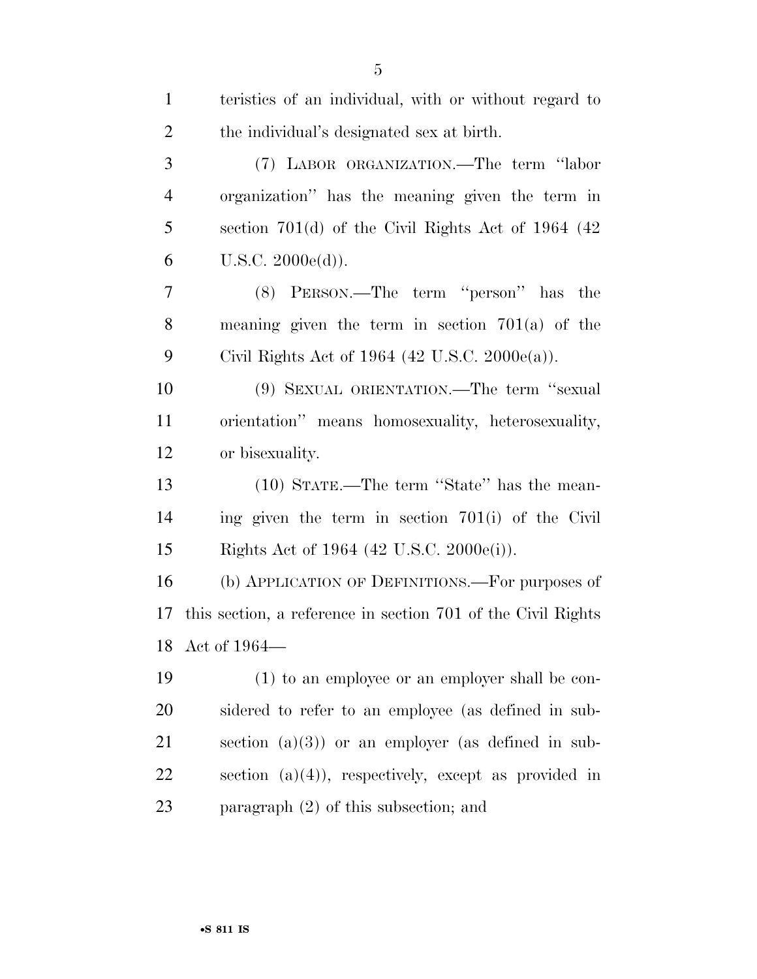| $\mathbf{1}$   | teristics of an individual, with or without regard to        |
|----------------|--------------------------------------------------------------|
| $\overline{2}$ | the individual's designated sex at birth.                    |
| 3              | (7) LABOR ORGANIZATION.—The term "labor                      |
| $\overline{4}$ | organization" has the meaning given the term in              |
| 5              | section $701(d)$ of the Civil Rights Act of 1964 (42)        |
| 6              | U.S.C. 2000e(d)).                                            |
| 7              | (8) PERSON.—The term "person" has the                        |
| 8              | meaning given the term in section $701(a)$ of the            |
| 9              | Civil Rights Act of 1964 (42 U.S.C. 2000 $e(a)$ ).           |
| 10             | (9) SEXUAL ORIENTATION.—The term "sexual                     |
| 11             | orientation" means homosexuality, heterosexuality,           |
| 12             | or bisexuality.                                              |
| 13             | (10) STATE.—The term "State" has the mean-                   |
| 14             | ing given the term in section 701(i) of the Civil            |
| 15             | Rights Act of 1964 (42 U.S.C. 2000e(i)).                     |
| 16             | (b) APPLICATION OF DEFINITIONS.—For purposes of              |
| 17             | this section, a reference in section 701 of the Civil Rights |
|                | 18 Act of 1964-                                              |
| 19             | (1) to an employee or an employer shall be con-              |
| 20             | sidered to refer to an employee (as defined in sub-          |
| 21             | section $(a)(3)$ or an employer (as defined in sub-          |
| 22             | section $(a)(4)$ , respectively, except as provided in       |
| 23             | paragraph $(2)$ of this subsection; and                      |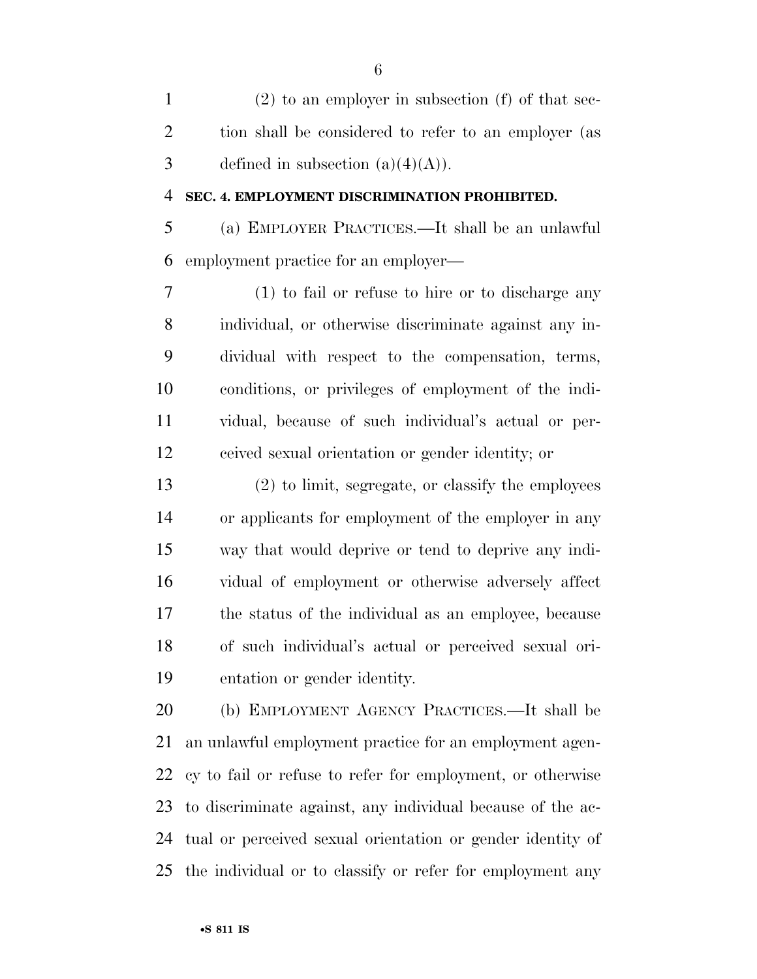(2) to an employer in subsection (f) of that sec- tion shall be considered to refer to an employer (as 3 defined in subsection  $(a)(4)(A)$ .

#### **SEC. 4. EMPLOYMENT DISCRIMINATION PROHIBITED.**

 (a) EMPLOYER PRACTICES.—It shall be an unlawful employment practice for an employer—

 (1) to fail or refuse to hire or to discharge any individual, or otherwise discriminate against any in- dividual with respect to the compensation, terms, conditions, or privileges of employment of the indi- vidual, because of such individual's actual or per-ceived sexual orientation or gender identity; or

 (2) to limit, segregate, or classify the employees or applicants for employment of the employer in any way that would deprive or tend to deprive any indi- vidual of employment or otherwise adversely affect the status of the individual as an employee, because of such individual's actual or perceived sexual ori-entation or gender identity.

 (b) EMPLOYMENT AGENCY PRACTICES.—It shall be an unlawful employment practice for an employment agen- cy to fail or refuse to refer for employment, or otherwise to discriminate against, any individual because of the ac- tual or perceived sexual orientation or gender identity of the individual or to classify or refer for employment any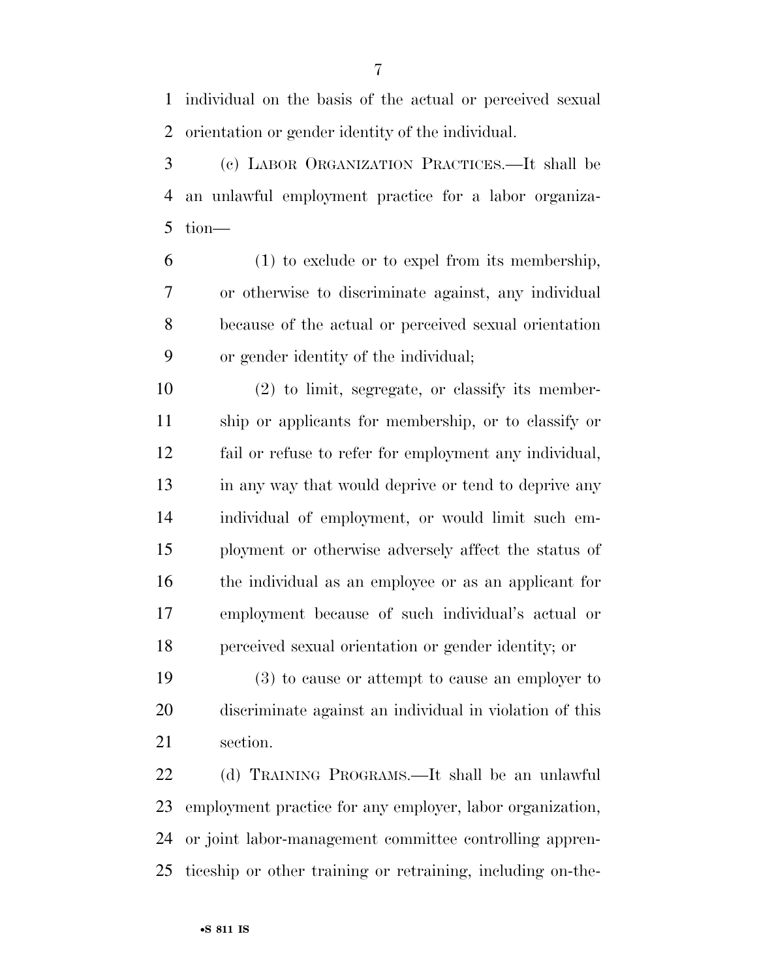individual on the basis of the actual or perceived sexual orientation or gender identity of the individual.

 (c) LABOR ORGANIZATION PRACTICES.—It shall be an unlawful employment practice for a labor organiza-tion—

 (1) to exclude or to expel from its membership, or otherwise to discriminate against, any individual because of the actual or perceived sexual orientation or gender identity of the individual;

 (2) to limit, segregate, or classify its member- ship or applicants for membership, or to classify or fail or refuse to refer for employment any individual, 13 in any way that would deprive or tend to deprive any individual of employment, or would limit such em- ployment or otherwise adversely affect the status of the individual as an employee or as an applicant for employment because of such individual's actual or perceived sexual orientation or gender identity; or

 (3) to cause or attempt to cause an employer to discriminate against an individual in violation of this section.

 (d) TRAINING PROGRAMS.—It shall be an unlawful employment practice for any employer, labor organization, or joint labor-management committee controlling appren-ticeship or other training or retraining, including on-the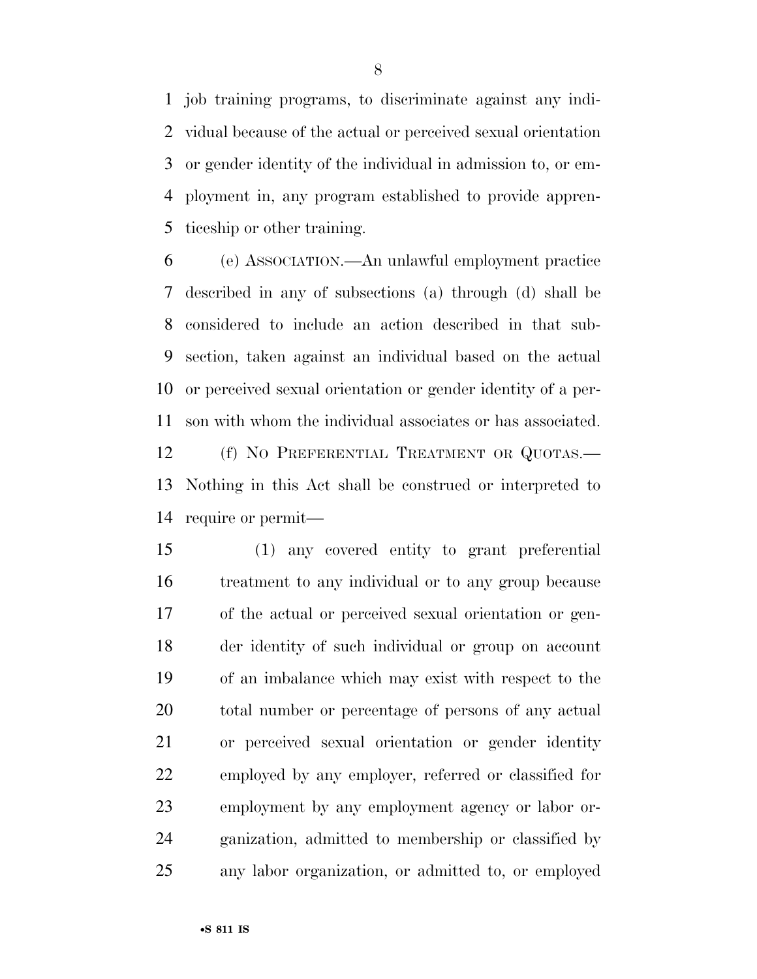job training programs, to discriminate against any indi- vidual because of the actual or perceived sexual orientation or gender identity of the individual in admission to, or em- ployment in, any program established to provide appren-ticeship or other training.

 (e) ASSOCIATION.—An unlawful employment practice described in any of subsections (a) through (d) shall be considered to include an action described in that sub- section, taken against an individual based on the actual or perceived sexual orientation or gender identity of a per- son with whom the individual associates or has associated. 12 (f) NO PREFERENTIAL TREATMENT OR QUOTAS.— Nothing in this Act shall be construed or interpreted to require or permit—

 (1) any covered entity to grant preferential treatment to any individual or to any group because of the actual or perceived sexual orientation or gen- der identity of such individual or group on account of an imbalance which may exist with respect to the total number or percentage of persons of any actual or perceived sexual orientation or gender identity employed by any employer, referred or classified for employment by any employment agency or labor or- ganization, admitted to membership or classified by any labor organization, or admitted to, or employed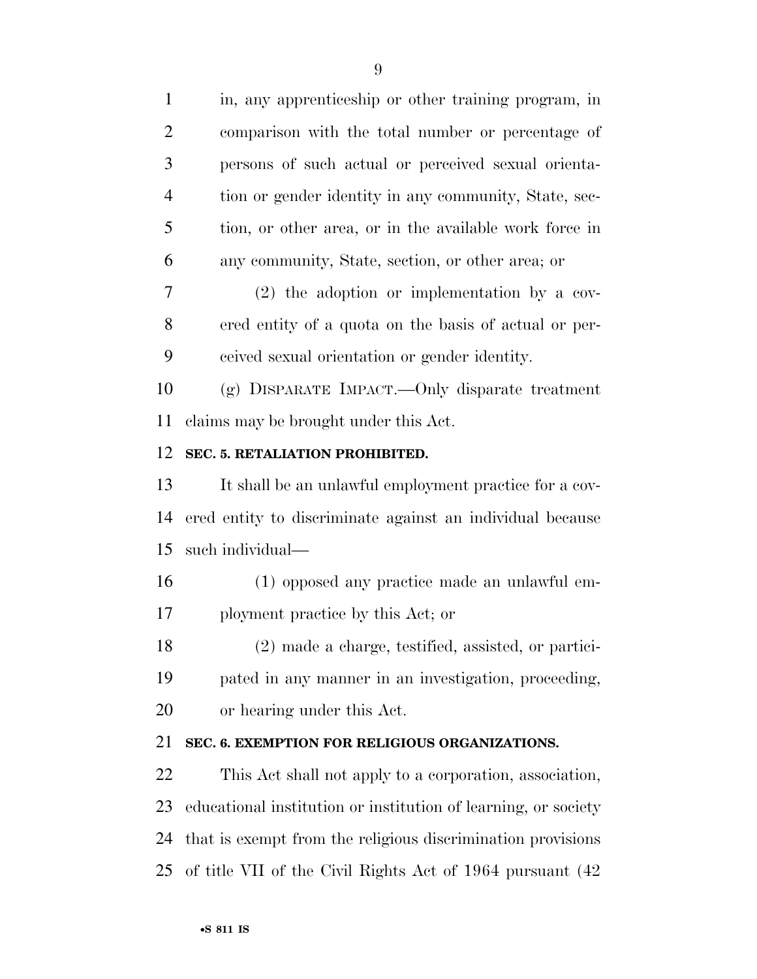in, any apprenticeship or other training program, in comparison with the total number or percentage of persons of such actual or perceived sexual orienta- tion or gender identity in any community, State, sec- tion, or other area, or in the available work force in any community, State, section, or other area; or (2) the adoption or implementation by a cov- ered entity of a quota on the basis of actual or per- ceived sexual orientation or gender identity. (g) DISPARATE IMPACT.—Only disparate treatment claims may be brought under this Act. **SEC. 5. RETALIATION PROHIBITED.**  It shall be an unlawful employment practice for a cov- ered entity to discriminate against an individual because such individual—

 (1) opposed any practice made an unlawful em-ployment practice by this Act; or

 (2) made a charge, testified, assisted, or partici- pated in any manner in an investigation, proceeding, or hearing under this Act.

# **SEC. 6. EXEMPTION FOR RELIGIOUS ORGANIZATIONS.**

 This Act shall not apply to a corporation, association, educational institution or institution of learning, or society that is exempt from the religious discrimination provisions of title VII of the Civil Rights Act of 1964 pursuant (42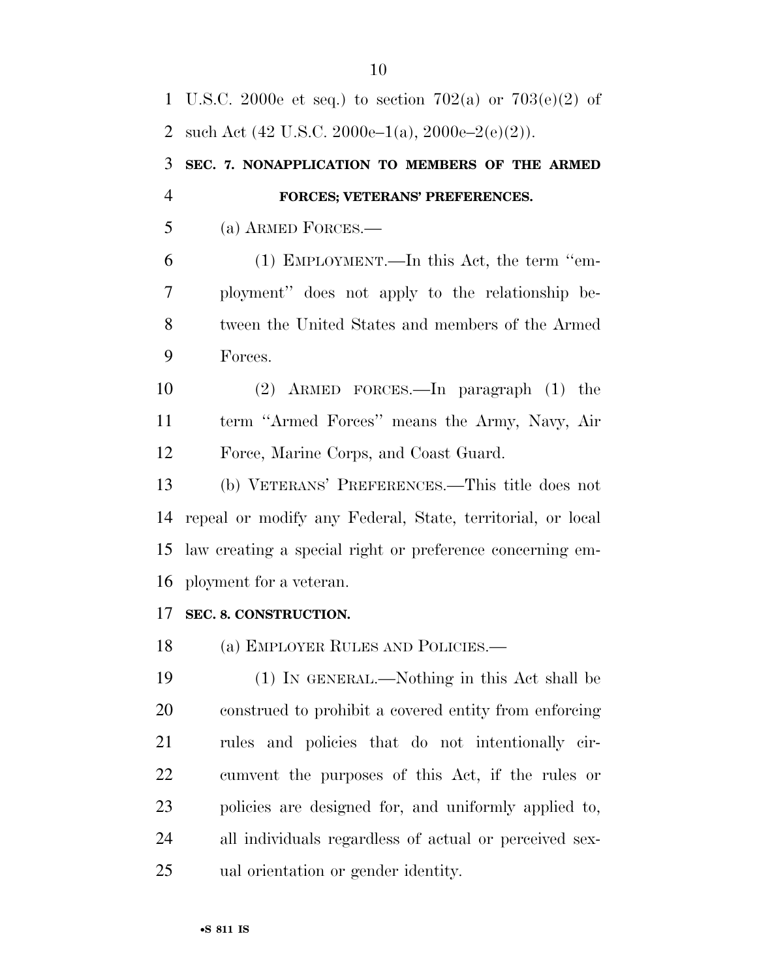U.S.C. 2000e et seq.) to section 702(a) or 703(e)(2) of 2 such Act  $(42 \text{ U.S.C. } 2000\text{e} - 1(a), 2000\text{e} - 2(\text{e})(2)).$  **SEC. 7. NONAPPLICATION TO MEMBERS OF THE ARMED FORCES; VETERANS' PREFERENCES.**  (a) ARMED FORCES.— (1) EMPLOYMENT.—In this Act, the term ''em- ployment'' does not apply to the relationship be- tween the United States and members of the Armed Forces. (2) ARMED FORCES.—In paragraph (1) the term ''Armed Forces'' means the Army, Navy, Air Force, Marine Corps, and Coast Guard. (b) VETERANS' PREFERENCES.—This title does not repeal or modify any Federal, State, territorial, or local law creating a special right or preference concerning em- ployment for a veteran. **SEC. 8. CONSTRUCTION.**  (a) EMPLOYER RULES AND POLICIES.— (1) IN GENERAL.—Nothing in this Act shall be construed to prohibit a covered entity from enforcing rules and policies that do not intentionally cir- cumvent the purposes of this Act, if the rules or policies are designed for, and uniformly applied to, all individuals regardless of actual or perceived sex-ual orientation or gender identity.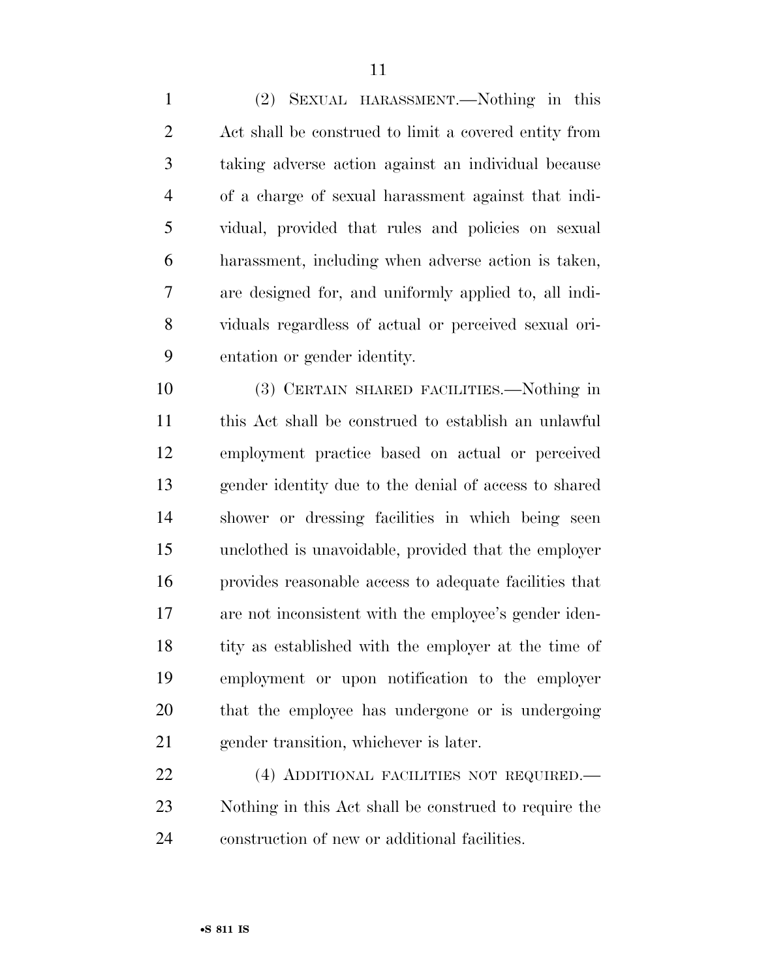(2) SEXUAL HARASSMENT.—Nothing in this Act shall be construed to limit a covered entity from taking adverse action against an individual because of a charge of sexual harassment against that indi- vidual, provided that rules and policies on sexual harassment, including when adverse action is taken, are designed for, and uniformly applied to, all indi- viduals regardless of actual or perceived sexual ori-entation or gender identity.

 (3) CERTAIN SHARED FACILITIES.—Nothing in this Act shall be construed to establish an unlawful employment practice based on actual or perceived gender identity due to the denial of access to shared shower or dressing facilities in which being seen unclothed is unavoidable, provided that the employer provides reasonable access to adequate facilities that are not inconsistent with the employee's gender iden-18 tity as established with the employer at the time of employment or upon notification to the employer that the employee has undergone or is undergoing gender transition, whichever is later.

 (4) ADDITIONAL FACILITIES NOT REQUIRED.— Nothing in this Act shall be construed to require the construction of new or additional facilities.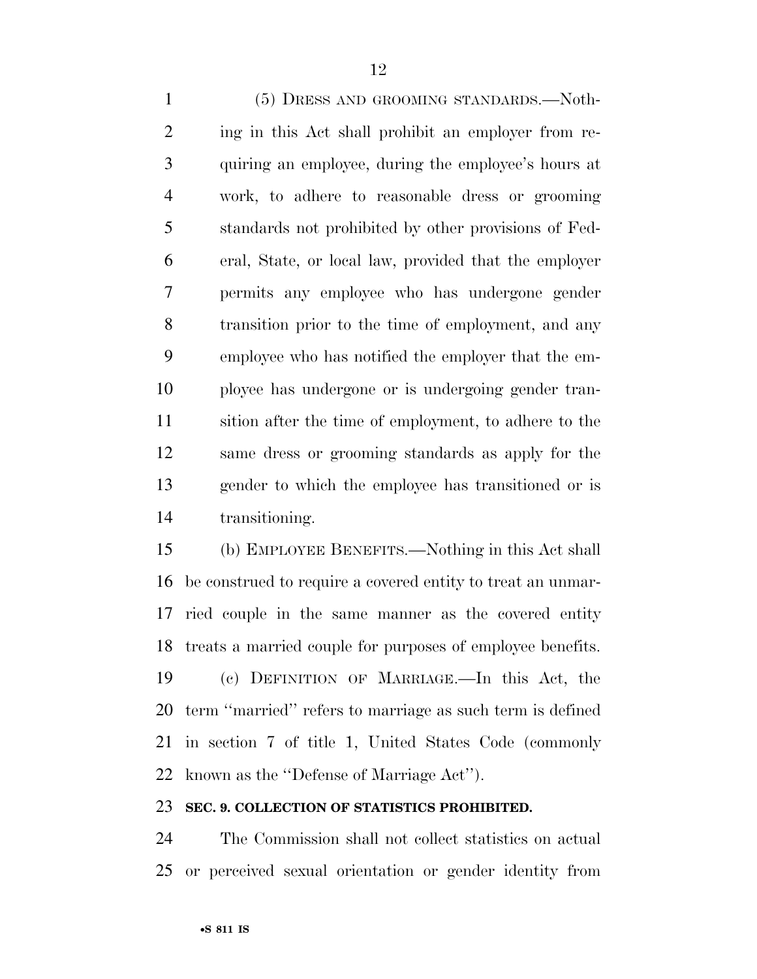(5) DRESS AND GROOMING STANDARDS.—Noth- ing in this Act shall prohibit an employer from re- quiring an employee, during the employee's hours at work, to adhere to reasonable dress or grooming standards not prohibited by other provisions of Fed- eral, State, or local law, provided that the employer permits any employee who has undergone gender transition prior to the time of employment, and any employee who has notified the employer that the em- ployee has undergone or is undergoing gender tran- sition after the time of employment, to adhere to the same dress or grooming standards as apply for the gender to which the employee has transitioned or is transitioning.

 (b) EMPLOYEE BENEFITS.—Nothing in this Act shall be construed to require a covered entity to treat an unmar- ried couple in the same manner as the covered entity treats a married couple for purposes of employee benefits. (c) DEFINITION OF MARRIAGE.—In this Act, the term ''married'' refers to marriage as such term is defined in section 7 of title 1, United States Code (commonly known as the ''Defense of Marriage Act'').

#### **SEC. 9. COLLECTION OF STATISTICS PROHIBITED.**

 The Commission shall not collect statistics on actual or perceived sexual orientation or gender identity from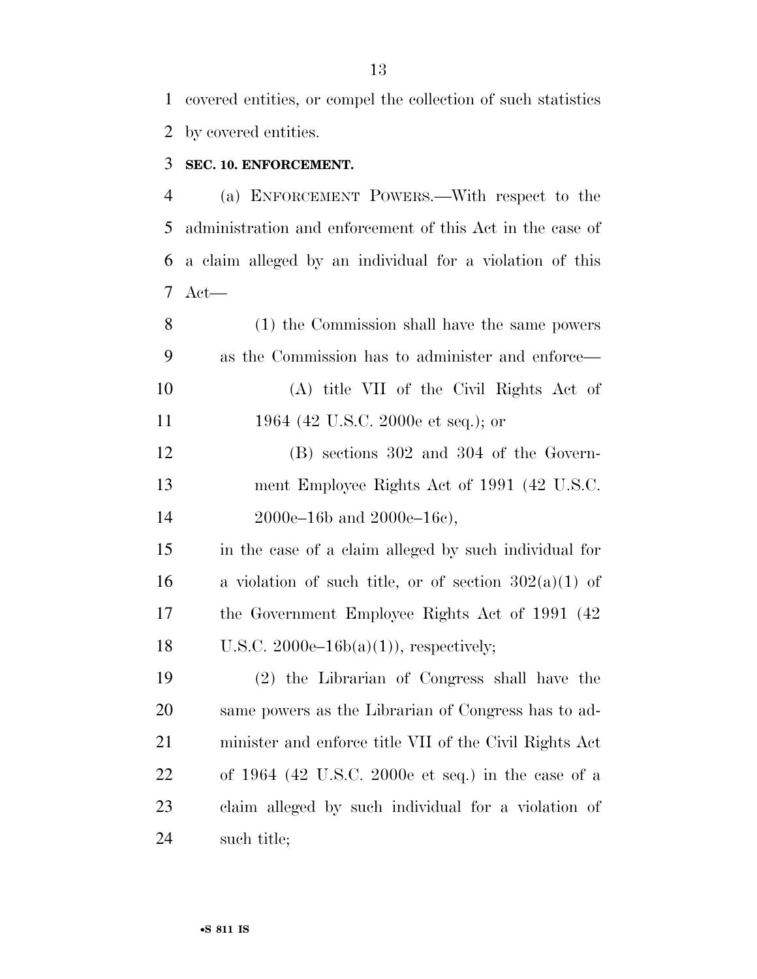covered entities, or compel the collection of such statistics by covered entities.

# **SEC. 10. ENFORCEMENT.**

 (a) ENFORCEMENT POWERS.—With respect to the administration and enforcement of this Act in the case of a claim alleged by an individual for a violation of this Act—

 (1) the Commission shall have the same powers as the Commission has to administer and enforce— (A) title VII of the Civil Rights Act of 11 1964 (42 U.S.C. 2000e et seq.); or

 (B) sections 302 and 304 of the Govern- ment Employee Rights Act of 1991 (42 U.S.C. 2000e–16b and 2000e–16c),

 in the case of a claim alleged by such individual for 16 a violation of such title, or of section  $302(a)(1)$  of the Government Employee Rights Act of 1991 (42 18 U.S.C.  $2000e-16b(a)(1)$ , respectively;

 (2) the Librarian of Congress shall have the same powers as the Librarian of Congress has to ad- minister and enforce title VII of the Civil Rights Act of 1964 (42 U.S.C. 2000e et seq.) in the case of a claim alleged by such individual for a violation of such title;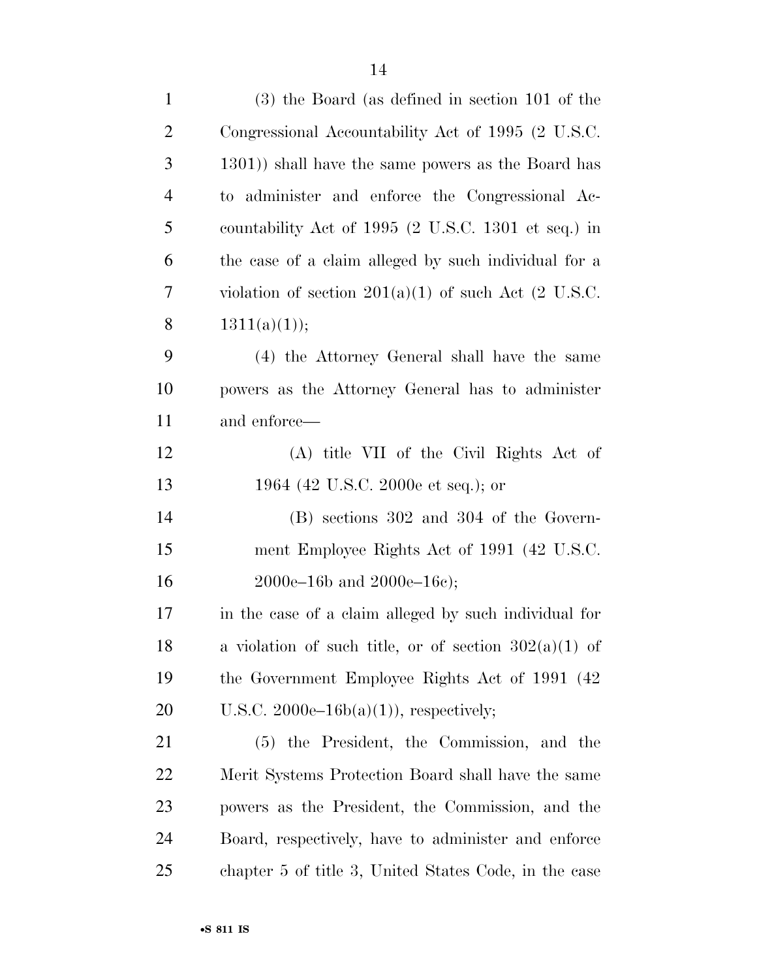| $\mathbf{1}$   | $(3)$ the Board (as defined in section 101 of the             |
|----------------|---------------------------------------------------------------|
| $\overline{2}$ | Congressional Accountability Act of 1995 (2 U.S.C.            |
| 3              | 1301) shall have the same powers as the Board has             |
| $\overline{4}$ | administer and enforce the Congressional Ac-<br>$\mathrm{to}$ |
| 5              | countability Act of 1995 (2 U.S.C. 1301 et seq.) in           |
| 6              | the case of a claim alleged by such individual for a          |
| 7              | violation of section $201(a)(1)$ of such Act (2 U.S.C.        |
| 8              | 1311(a)(1));                                                  |
| 9              | (4) the Attorney General shall have the same                  |
| 10             | powers as the Attorney General has to administer              |
| 11             | and enforce—                                                  |
| 12             | (A) title VII of the Civil Rights Act of                      |
| 13             | 1964 (42 U.S.C. 2000e et seq.); or                            |
| 14             | $(B)$ sections 302 and 304 of the Govern-                     |
| 15             | ment Employee Rights Act of 1991 (42 U.S.C.                   |
| 16             | $2000e-16b$ and $2000e-16c$ ;                                 |
| 17             | in the case of a claim alleged by such individual for         |
| 18             | a violation of such title, or of section $302(a)(1)$ of       |
| 19             | the Government Employee Rights Act of 1991 (42)               |
| 20             | U.S.C. $2000e-16b(a)(1)$ , respectively;                      |
| 21             | (5) the President, the Commission, and the                    |
| 22             | Merit Systems Protection Board shall have the same            |
| 23             | powers as the President, the Commission, and the              |
| 24             | Board, respectively, have to administer and enforce           |
| 25             | chapter 5 of title 3, United States Code, in the case         |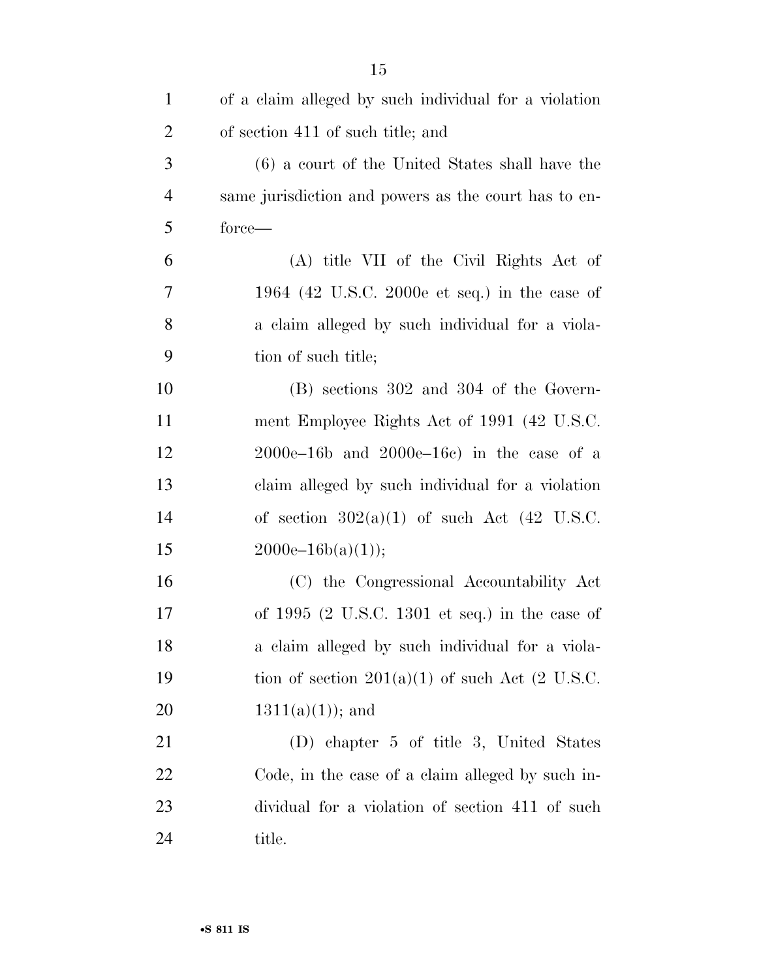| $\mathbf{1}$   | of a claim alleged by such individual for a violation |
|----------------|-------------------------------------------------------|
| $\overline{2}$ | of section 411 of such title; and                     |
| 3              | (6) a court of the United States shall have the       |
| $\overline{4}$ | same jurisdiction and powers as the court has to en-  |
| 5              | force—                                                |
| 6              | (A) title VII of the Civil Rights Act of              |
| 7              | 1964 (42 U.S.C. 2000e et seq.) in the case of         |
| 8              | a claim alleged by such individual for a viola-       |
| 9              | tion of such title;                                   |
| 10             | $(B)$ sections 302 and 304 of the Govern-             |
| 11             | ment Employee Rights Act of 1991 (42 U.S.C.           |
| 12             | $2000e-16b$ and $2000e-16c$ in the case of a          |
| 13             | claim alleged by such individual for a violation      |
| 14             | of section $302(a)(1)$ of such Act (42 U.S.C.         |
| 15             | $2000e-16b(a)(1));$                                   |
| 16             | (C) the Congressional Accountability Act              |
| 17             | of $1995$ (2 U.S.C. 1301 et seq.) in the case of      |
| 18             | a claim alleged by such individual for a viola-       |
| 19             | tion of section $201(a)(1)$ of such Act (2 U.S.C.     |
| 20             | $1311(a)(1)$ ; and                                    |
| 21             | (D) chapter 5 of title 3, United States               |
| 22             | Code, in the case of a claim alleged by such in-      |
| 23             | dividual for a violation of section 411 of such       |
| 24             | title.                                                |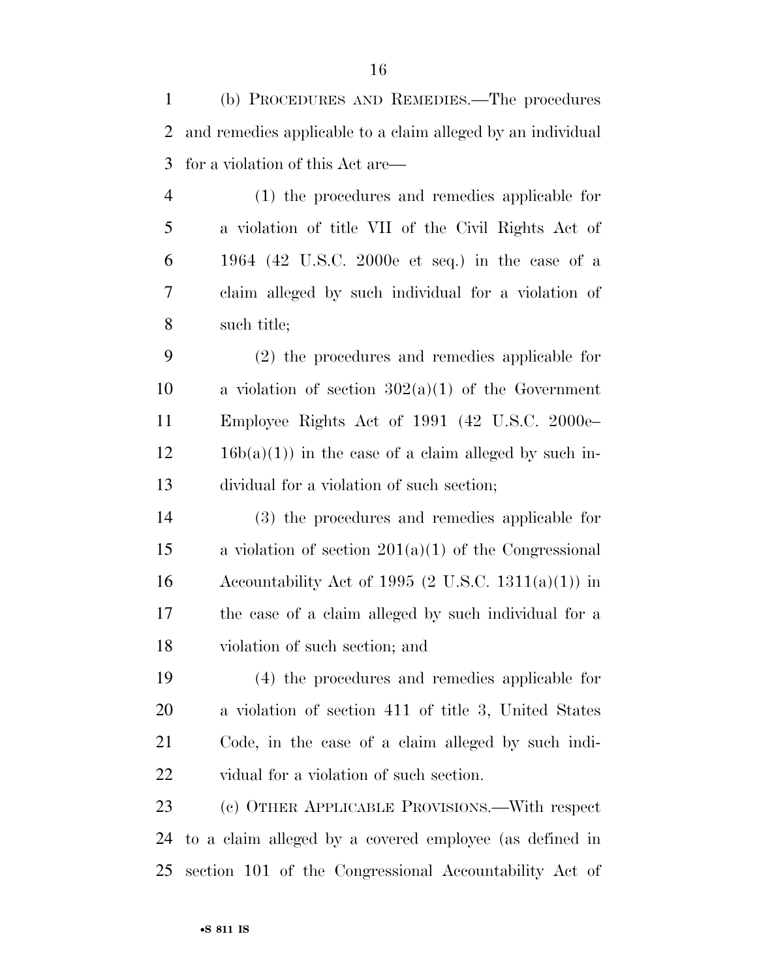(b) PROCEDURES AND REMEDIES.—The procedures and remedies applicable to a claim alleged by an individual for a violation of this Act are—

 (1) the procedures and remedies applicable for a violation of title VII of the Civil Rights Act of 1964 (42 U.S.C. 2000e et seq.) in the case of a claim alleged by such individual for a violation of such title;

 (2) the procedures and remedies applicable for 10 a violation of section  $302(a)(1)$  of the Government Employee Rights Act of 1991 (42 U.S.C. 2000e–  $12 \t 16b(a)(1)$  in the case of a claim alleged by such in-dividual for a violation of such section;

 (3) the procedures and remedies applicable for a violation of section 201(a)(1) of the Congressional 16 Accountability Act of 1995 (2 U.S.C. 1311(a)(1)) in the case of a claim alleged by such individual for a violation of such section; and

 (4) the procedures and remedies applicable for a violation of section 411 of title 3, United States Code, in the case of a claim alleged by such indi-vidual for a violation of such section.

 (c) OTHER APPLICABLE PROVISIONS.—With respect to a claim alleged by a covered employee (as defined in section 101 of the Congressional Accountability Act of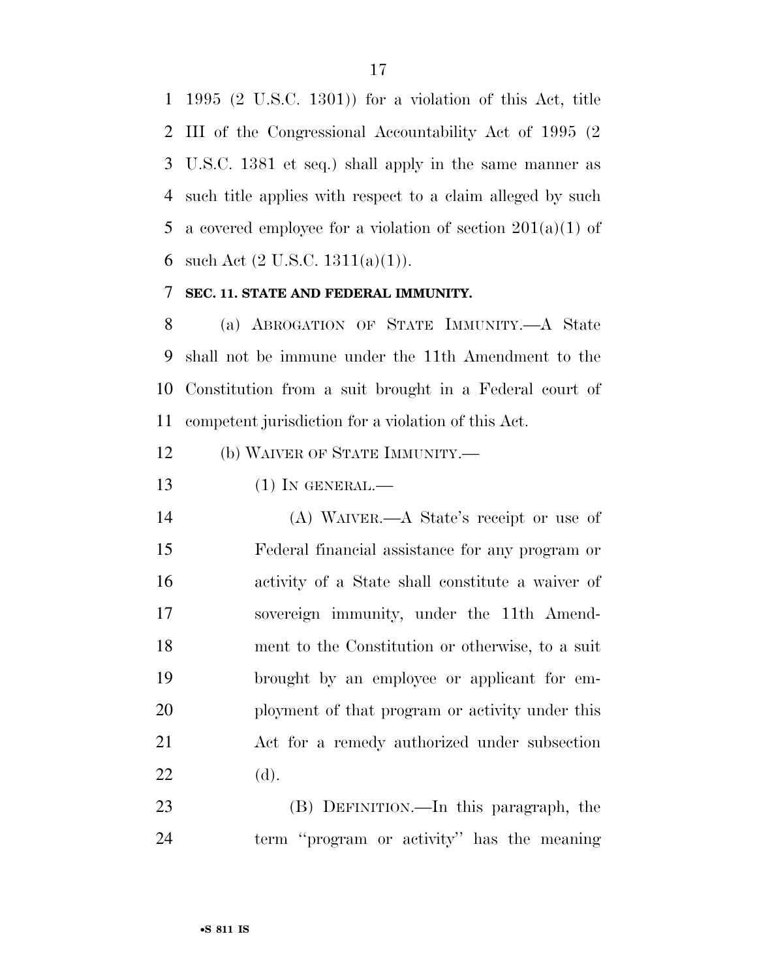1995 (2 U.S.C. 1301)) for a violation of this Act, title III of the Congressional Accountability Act of 1995 (2 U.S.C. 1381 et seq.) shall apply in the same manner as such title applies with respect to a claim alleged by such 5 a covered employee for a violation of section  $201(a)(1)$  of 6 such Act  $(2 \text{ U.S.C. } 1311(a)(1))$ .

# **SEC. 11. STATE AND FEDERAL IMMUNITY.**

 (a) ABROGATION OF STATE IMMUNITY.—A State shall not be immune under the 11th Amendment to the Constitution from a suit brought in a Federal court of competent jurisdiction for a violation of this Act.

(b) WAIVER OF STATE IMMUNITY.—

(1) IN GENERAL.—

 (A) WAIVER.—A State's receipt or use of Federal financial assistance for any program or activity of a State shall constitute a waiver of sovereign immunity, under the 11th Amend- ment to the Constitution or otherwise, to a suit brought by an employee or applicant for em- ployment of that program or activity under this Act for a remedy authorized under subsection (d).

 (B) DEFINITION.—In this paragraph, the term ''program or activity'' has the meaning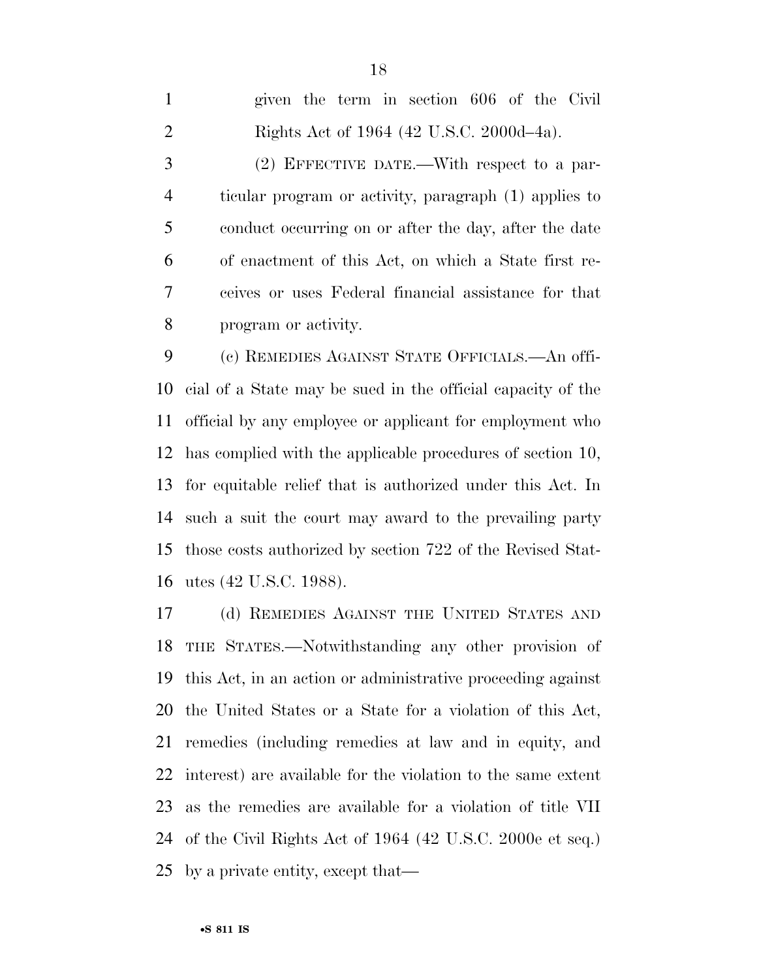| $\mathbf{1}$   | given the term in section 606 of the Civil            |
|----------------|-------------------------------------------------------|
| $\overline{2}$ | Rights Act of 1964 (42 U.S.C. 2000d-4a).              |
| 3              | $(2)$ EFFECTIVE DATE.—With respect to a par-          |
| $\overline{4}$ | ticular program or activity, paragraph (1) applies to |
| 5              | conduct occurring on or after the day, after the date |
| 6              | of enactment of this Act, on which a State first re-  |
| 7              | ceives or uses Federal financial assistance for that  |
| 8              | program or activity.                                  |
|                |                                                       |

 (c) REMEDIES AGAINST STATE OFFICIALS.—An offi- cial of a State may be sued in the official capacity of the official by any employee or applicant for employment who has complied with the applicable procedures of section 10, for equitable relief that is authorized under this Act. In such a suit the court may award to the prevailing party those costs authorized by section 722 of the Revised Stat-utes (42 U.S.C. 1988).

 (d) REMEDIES AGAINST THE UNITED STATES AND THE STATES.—Notwithstanding any other provision of this Act, in an action or administrative proceeding against the United States or a State for a violation of this Act, remedies (including remedies at law and in equity, and interest) are available for the violation to the same extent as the remedies are available for a violation of title VII of the Civil Rights Act of 1964 (42 U.S.C. 2000e et seq.) by a private entity, except that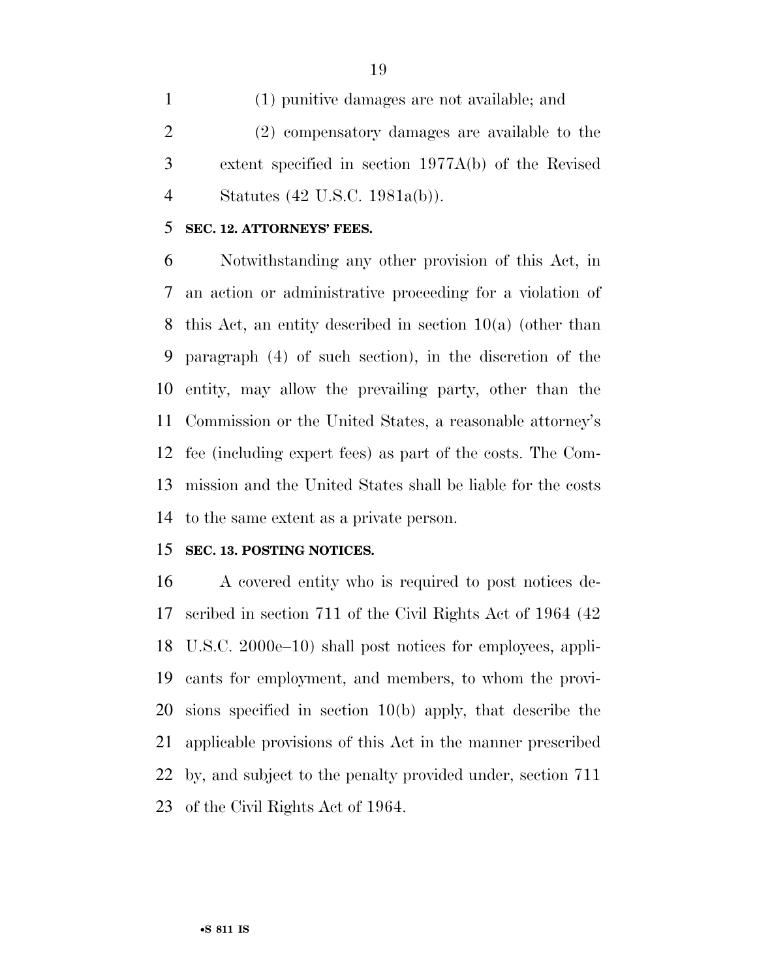(1) punitive damages are not available; and (2) compensatory damages are available to the extent specified in section 1977A(b) of the Revised Statutes (42 U.S.C. 1981a(b)).

# **SEC. 12. ATTORNEYS' FEES.**

 Notwithstanding any other provision of this Act, in an action or administrative proceeding for a violation of this Act, an entity described in section 10(a) (other than paragraph (4) of such section), in the discretion of the entity, may allow the prevailing party, other than the Commission or the United States, a reasonable attorney's fee (including expert fees) as part of the costs. The Com- mission and the United States shall be liable for the costs to the same extent as a private person.

# **SEC. 13. POSTING NOTICES.**

 A covered entity who is required to post notices de- scribed in section 711 of the Civil Rights Act of 1964 (42 U.S.C. 2000e–10) shall post notices for employees, appli- cants for employment, and members, to whom the provi- sions specified in section 10(b) apply, that describe the applicable provisions of this Act in the manner prescribed by, and subject to the penalty provided under, section 711 of the Civil Rights Act of 1964.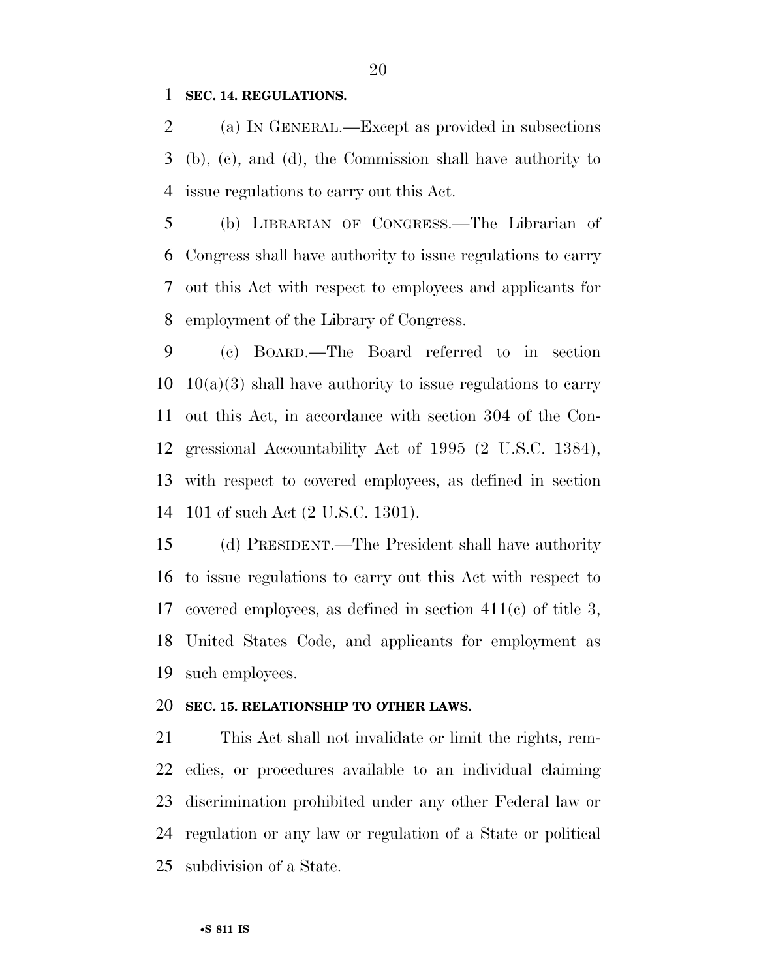## **SEC. 14. REGULATIONS.**

 (a) IN GENERAL.—Except as provided in subsections (b), (c), and (d), the Commission shall have authority to issue regulations to carry out this Act.

 (b) LIBRARIAN OF CONGRESS.—The Librarian of Congress shall have authority to issue regulations to carry out this Act with respect to employees and applicants for employment of the Library of Congress.

 (c) BOARD.—The Board referred to in section  $10 \quad 10(a)(3)$  shall have authority to issue regulations to carry out this Act, in accordance with section 304 of the Con- gressional Accountability Act of 1995 (2 U.S.C. 1384), with respect to covered employees, as defined in section 101 of such Act (2 U.S.C. 1301).

 (d) PRESIDENT.—The President shall have authority to issue regulations to carry out this Act with respect to covered employees, as defined in section 411(c) of title 3, United States Code, and applicants for employment as such employees.

#### **SEC. 15. RELATIONSHIP TO OTHER LAWS.**

 This Act shall not invalidate or limit the rights, rem- edies, or procedures available to an individual claiming discrimination prohibited under any other Federal law or regulation or any law or regulation of a State or political subdivision of a State.